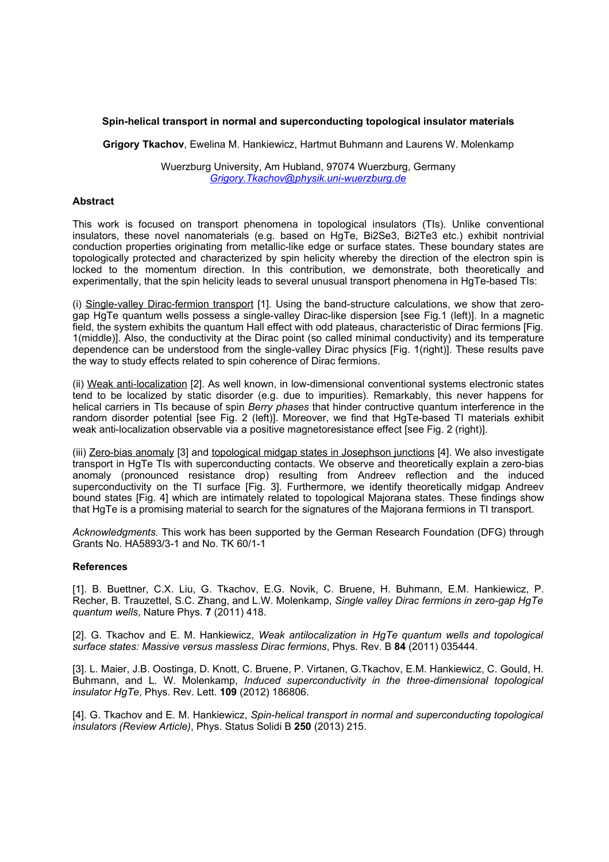## **Spin-helical transport in normal and superconducting topological insulator materials**

**Grigory Tkachov**, Ewelina M. Hankiewicz, Hartmut Buhmann and Laurens W. Molenkamp

Wuerzburg University, Am Hubland, 97074 Wuerzburg, Germany *[Grigory.Tkachov@physik.uni-wuerzburg.de](mailto:Contact@E-mail)*

## **Abstract**

This work is focused on transport phenomena in topological insulators (TIs). Unlike conventional insulators, these novel nanomaterials (e.g. based on HgTe, Bi2Se3, Bi2Te3 etc.) exhibit nontrivial conduction properties originating from metallic-like edge or surface states. These boundary states are topologically protected and characterized by spin helicity whereby the direction of the electron spin is locked to the momentum direction. In this contribution, we demonstrate, both theoretically and experimentally, that the spin helicity leads to several unusual transport phenomena in HgTe-based TIs:

(i) Single-valley Dirac-fermion transport [1]. Using the band-structure calculations, we show that zerogap HgTe quantum wells possess a single-valley Dirac-like dispersion [see Fig.1 (left)]. In a magnetic field, the system exhibits the quantum Hall effect with odd plateaus, characteristic of Dirac fermions [Fig. 1(middle)]. Also, the conductivity at the Dirac point (so called minimal conductivity) and its temperature dependence can be understood from the single-valley Dirac physics [Fig. 1(right)]. These results pave the way to study effects related to spin coherence of Dirac fermions.

(ii) Weak anti-localization [2]. As well known, in low-dimensional conventional systems electronic states tend to be localized by static disorder (e.g. due to impurities). Remarkably, this never happens for helical carriers in TIs because of spin *Berry phases* that hinder contructive quantum interference in the random disorder potential [see Fig. 2 (left)]. Moreover, we find that HgTe-based TI materials exhibit weak anti-localization observable via a positive magnetoresistance effect [see Fig. 2 (right)].

(iii) Zero-bias anomaly [3] and topological midgap states in Josephson junctions [4]. We also investigate transport in HgTe TIs with superconducting contacts. We observe and theoretically explain a zero-bias anomaly (pronounced resistance drop) resulting from Andreev reflection and the induced superconductivity on the TI surface [Fig. 3]. Furthermore, we identify theoretically midgap Andreev bound states [Fig. 4] which are intimately related to topological Majorana states. These findings show that HgTe is a promising material to search for the signatures of the Majorana fermions in TI transport.

*Acknowledgments.* This work has been supported by the German Research Foundation (DFG) through Grants No. HA5893/3-1 and No. TK 60/1-1

## **References**

[1]. B. Buettner, C.X. Liu, G. Tkachov, E.G. Novik, C. Bruene, H. Buhmann, E.M. Hankiewicz, P. Recher, B. Trauzettel, S.C. Zhang, and L.W. Molenkamp, *Single valley Dirac fermions in zero-gap HgTe quantum wells*, Nature Phys. **7** (2011) 418.

[2]. G. Tkachov and E. M. Hankiewicz, *Weak antilocalization in HgTe quantum wells and topological surface states: Massive versus massless Dirac fermions*, Phys. Rev. B **84** (2011) 035444.

[3]. L. Maier, J.B. Oostinga, D. Knott, C. Bruene, P. Virtanen, G.Tkachov, E.M. Hankiewicz, C. Gould, H. Buhmann, and L. W. Molenkamp, *Induced superconductivity in the three-dimensional topological insulator HgTe*, Phys. Rev. Lett. **109** (2012) 186806.

[4]. G. Tkachov and E. M. Hankiewicz, *Spin-helical transport in normal and superconducting topological insulators (Review Article)*, Phys. Status Solidi B **250** (2013) 215.